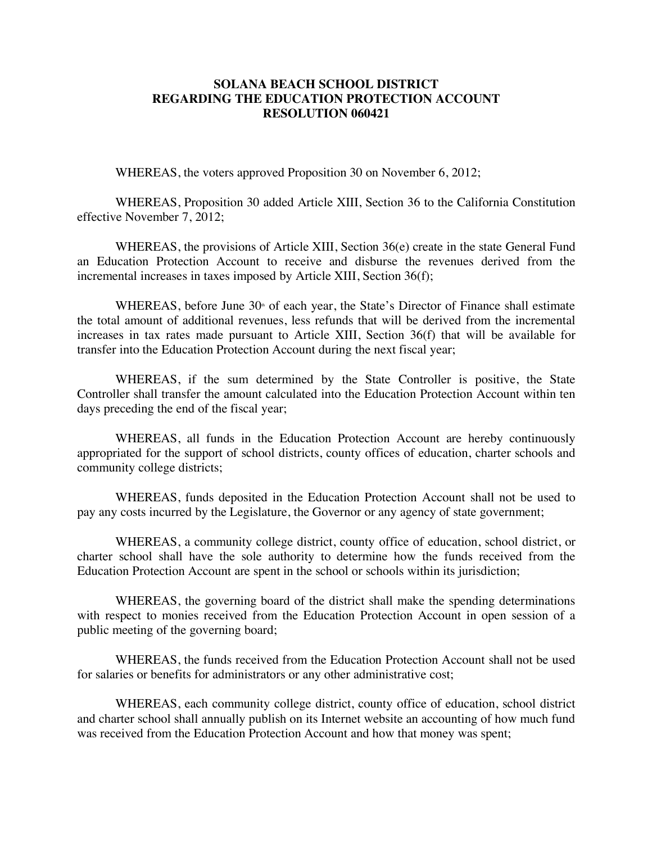## **SOLANA BEACH SCHOOL DISTRICT REGARDING THE EDUCATION PROTECTION ACCOUNT RESOLUTION 060421**

WHEREAS, the voters approved Proposition 30 on November 6, 2012;

WHEREAS, Proposition 30 added Article XIII, Section 36 to the California Constitution effective November 7, 2012;

WHEREAS, the provisions of Article XIII, Section 36(e) create in the state General Fund an Education Protection Account to receive and disburse the revenues derived from the incremental increases in taxes imposed by Article XIII, Section 36(f);

WHEREAS, before June  $30<sup>th</sup>$  of each year, the State's Director of Finance shall estimate the total amount of additional revenues, less refunds that will be derived from the incremental increases in tax rates made pursuant to Article XIII, Section 36(f) that will be available for transfer into the Education Protection Account during the next fiscal year;

WHEREAS, if the sum determined by the State Controller is positive, the State Controller shall transfer the amount calculated into the Education Protection Account within ten days preceding the end of the fiscal year;

WHEREAS, all funds in the Education Protection Account are hereby continuously appropriated for the support of school districts, county offices of education, charter schools and community college districts;

WHEREAS, funds deposited in the Education Protection Account shall not be used to pay any costs incurred by the Legislature, the Governor or any agency of state government;

WHEREAS, a community college district, county office of education, school district, or charter school shall have the sole authority to determine how the funds received from the Education Protection Account are spent in the school or schools within its jurisdiction;

WHEREAS, the governing board of the district shall make the spending determinations with respect to monies received from the Education Protection Account in open session of a public meeting of the governing board;

WHEREAS, the funds received from the Education Protection Account shall not be used for salaries or benefits for administrators or any other administrative cost;

WHEREAS, each community college district, county office of education, school district and charter school shall annually publish on its Internet website an accounting of how much fund was received from the Education Protection Account and how that money was spent;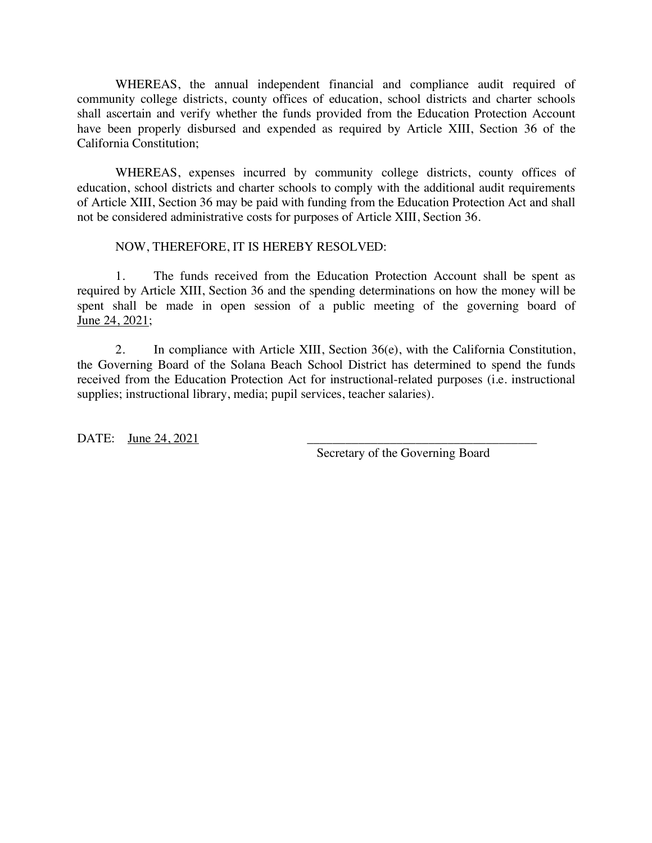WHEREAS, the annual independent financial and compliance audit required of community college districts, county offices of education, school districts and charter schools shall ascertain and verify whether the funds provided from the Education Protection Account have been properly disbursed and expended as required by Article XIII, Section 36 of the California Constitution;

WHEREAS, expenses incurred by community college districts, county offices of education, school districts and charter schools to comply with the additional audit requirements of Article XIII, Section 36 may be paid with funding from the Education Protection Act and shall not be considered administrative costs for purposes of Article XIII, Section 36.

## NOW, THEREFORE, IT IS HEREBY RESOLVED:

1. The funds received from the Education Protection Account shall be spent as required by Article XIII, Section 36 and the spending determinations on how the money will be spent shall be made in open session of a public meeting of the governing board of June 24, 2021;

2. In compliance with Article XIII, Section 36(e), with the California Constitution, the Governing Board of the Solana Beach School District has determined to spend the funds received from the Education Protection Act for instructional-related purposes (i.e. instructional supplies; instructional library, media; pupil services, teacher salaries).

DATE: <u>June 24, 2021</u>

Secretary of the Governing Board